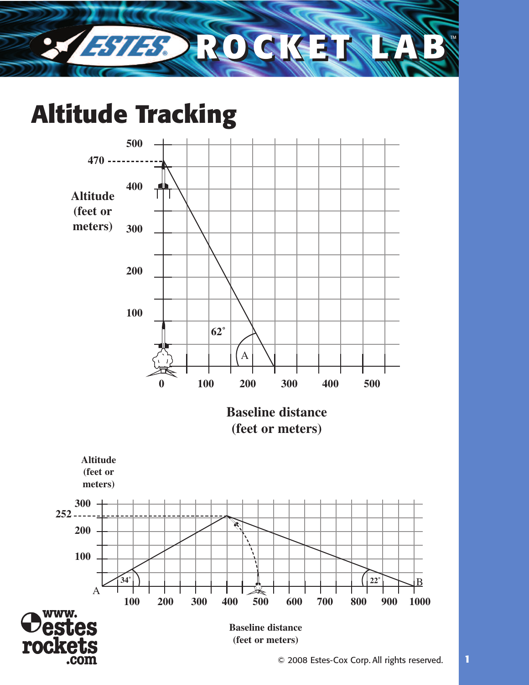

### **Altitude Tracking**

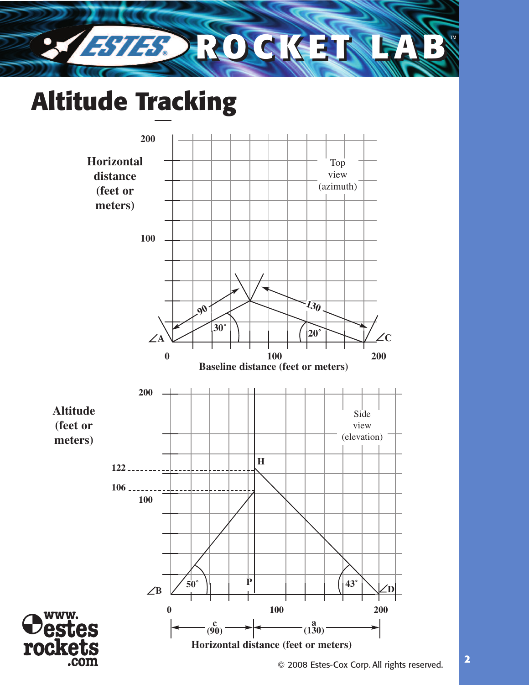

# **Altitude Tracking**

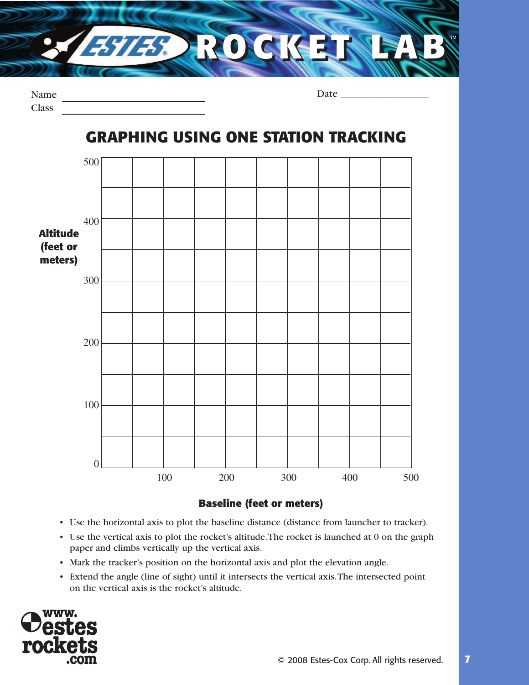

| Name         |  |
|--------------|--|
| <b>Class</b> |  |

**GRAPHING USING ONE STATION TRACKING**

Date \_\_\_\_\_\_\_\_\_\_\_\_\_\_\_\_\_



#### **Baseline (feet or meters)**

- Use the horizontal axis to plot the baseline distance (distance from launcher to tracker).
- Use the vertical axis to plot the rocket's altitude.The rocket is launched at 0 on the graph paper and climbs vertically up the vertical axis.
- Mark the tracker's position on the horizontal axis and plot the elevation angle.
- Extend the angle (line of sight) until it intersects the vertical axis.The intersected point on the vertical axis is the rocket's altitude.

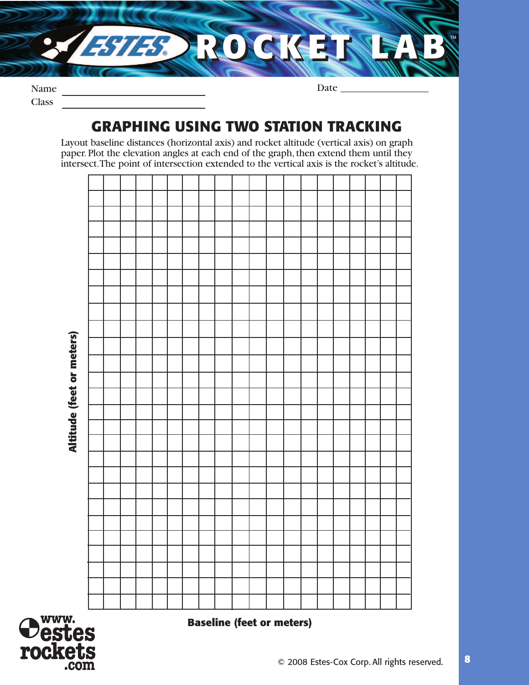

Name Class

Date  $\_\_$ 

### **GRAPHING USING TWO STATION TRACKING**

Layout baseline distances (horizontal axis) and rocket altitude (vertical axis) on graph paper. Plot the elevation angles at each end of the graph, then extend them until they intersect.The point of intersection extended to the vertical axis is the rocket's altitude.





**Baseline (feet or meters)**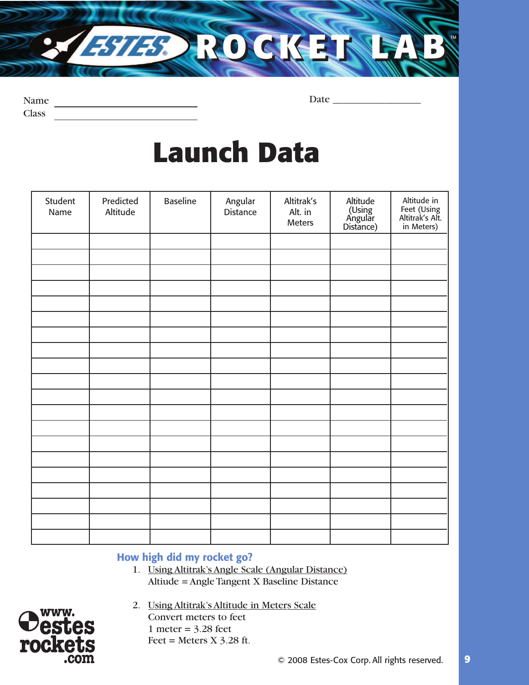

| <b>Name</b> |  |
|-------------|--|
| Class       |  |

Date \_\_\_\_\_\_\_\_\_\_\_\_\_\_\_\_\_

## **Launch Data**

| Student<br>Name | Predicted<br>Altitude | <b>Baseline</b> | Angular<br><b>Distance</b> | Altitrak's<br>Alt. in<br>Meters | Altitude<br>(Using<br>Angular<br>Distance) | Altitude in<br>Feet (Using<br>Altitrak's Alt.<br>in Meters) |
|-----------------|-----------------------|-----------------|----------------------------|---------------------------------|--------------------------------------------|-------------------------------------------------------------|
|                 |                       |                 |                            |                                 |                                            |                                                             |
|                 |                       |                 |                            |                                 |                                            |                                                             |
|                 |                       |                 |                            |                                 |                                            |                                                             |
|                 |                       |                 |                            |                                 |                                            |                                                             |
|                 |                       |                 |                            |                                 |                                            |                                                             |
|                 |                       |                 |                            |                                 |                                            |                                                             |
|                 |                       |                 |                            |                                 |                                            |                                                             |
|                 |                       |                 |                            |                                 |                                            |                                                             |
|                 |                       |                 |                            |                                 |                                            |                                                             |
|                 |                       |                 |                            |                                 |                                            |                                                             |
|                 |                       |                 |                            |                                 |                                            |                                                             |
|                 |                       |                 |                            |                                 |                                            |                                                             |
|                 |                       |                 |                            |                                 |                                            |                                                             |
|                 |                       |                 |                            |                                 |                                            |                                                             |
|                 |                       |                 |                            |                                 |                                            |                                                             |
|                 |                       |                 |                            |                                 |                                            |                                                             |
|                 |                       |                 |                            |                                 |                                            |                                                             |
|                 |                       |                 |                            |                                 |                                            |                                                             |
|                 |                       |                 |                            |                                 |                                            |                                                             |
|                 |                       |                 |                            |                                 |                                            |                                                             |

#### **How high did my rocket go?**

1. Using Altitrak's Angle Scale (Angular Distance) Altiude = Angle Tangent X Baseline Distance



2. Using Altitrak's Altitude in Meters Scale Convert meters to feet 1 meter =  $3.28$  feet

Feet = Meters  $X$  3.28 ft.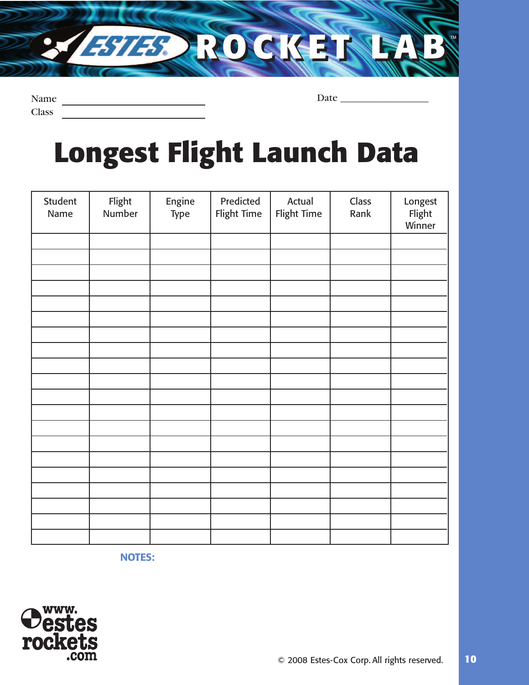Name Class

Date \_\_\_\_\_\_\_\_\_\_\_\_\_\_\_\_\_

**Longest Flight Launch Data**

**ROCKET LAB ROCKET LAB**TM

| Student<br>Name | Flight<br>Number | Engine<br>Type | Predicted<br>Flight Time | Actual<br>Flight Time | Class<br>Rank | Longest<br>Flight<br>Winner |
|-----------------|------------------|----------------|--------------------------|-----------------------|---------------|-----------------------------|
|                 |                  |                |                          |                       |               |                             |
|                 |                  |                |                          |                       |               |                             |
|                 |                  |                |                          |                       |               |                             |
|                 |                  |                |                          |                       |               |                             |
|                 |                  |                |                          |                       |               |                             |
|                 |                  |                |                          |                       |               |                             |
|                 |                  |                |                          |                       |               |                             |
|                 |                  |                |                          |                       |               |                             |
|                 |                  |                |                          |                       |               |                             |
|                 |                  |                |                          |                       |               |                             |
|                 |                  |                |                          |                       |               |                             |
|                 |                  |                |                          |                       |               |                             |
|                 |                  |                |                          |                       |               |                             |
|                 |                  |                |                          |                       |               |                             |
|                 |                  |                |                          |                       |               |                             |
|                 |                  |                |                          |                       |               |                             |
|                 |                  |                |                          |                       |               |                             |
|                 |                  |                |                          |                       |               |                             |
|                 |                  |                |                          |                       |               |                             |
|                 |                  |                |                          |                       |               |                             |

**NOTES:** 

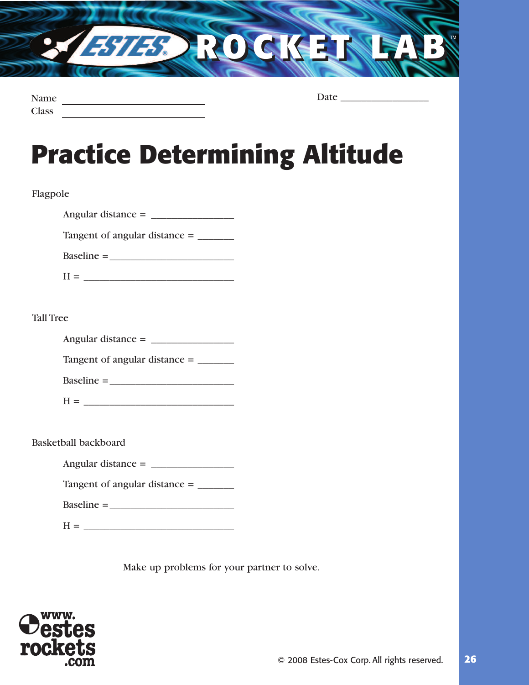

| Name         |  |
|--------------|--|
| <b>Class</b> |  |

Date \_\_\_\_\_\_\_\_\_\_\_\_\_\_\_\_\_

## **Practice Determining Altitude**

#### Flagpole

| Angular distance $=$ |  |
|----------------------|--|
|----------------------|--|

Tangent of angular distance = \_\_\_\_\_\_\_

| $Baseline =$ |  |
|--------------|--|
|              |  |

#### Tall Tree

| Angular distance $=$ |  |
|----------------------|--|
|----------------------|--|

| Tangent of angular distance = |  |  |
|-------------------------------|--|--|
|-------------------------------|--|--|

| $Baseline =$ |  |  |  |
|--------------|--|--|--|
|              |  |  |  |

| ו ז<br>Л |  |  |  |  |  |
|----------|--|--|--|--|--|
|          |  |  |  |  |  |

Basketball backboard

Tangent of angular distance = \_\_\_\_\_\_\_\_

 $H = \begin{bmatrix} 1 & 1 \\ 1 & 1 \end{bmatrix}$ 

Make up problems for your partner to solve.

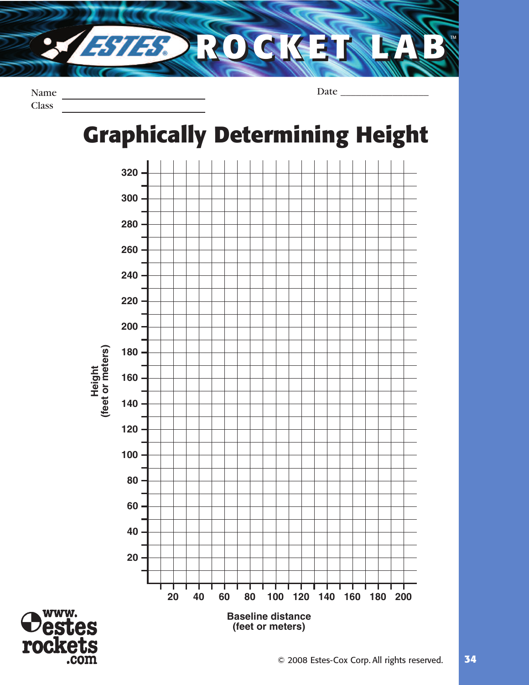

Name **Class** 

Date

### **Graphically Determining Height G**